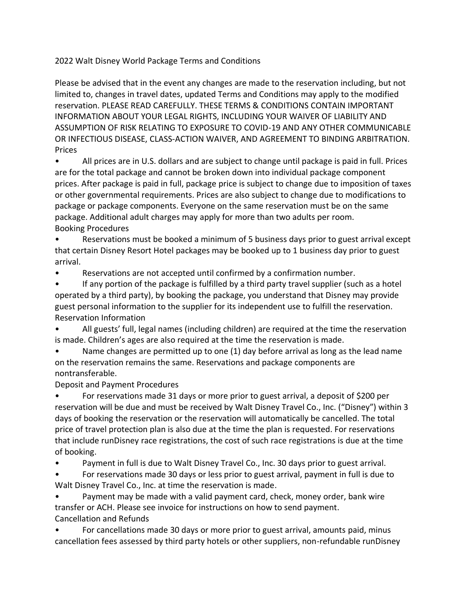2022 Walt Disney World Package Terms and Conditions

Please be advised that in the event any changes are made to the reservation including, but not limited to, changes in travel dates, updated Terms and Conditions may apply to the modified reservation. PLEASE READ CAREFULLY. THESE TERMS & CONDITIONS CONTAIN IMPORTANT INFORMATION ABOUT YOUR LEGAL RIGHTS, INCLUDING YOUR WAIVER OF LIABILITY AND ASSUMPTION OF RISK RELATING TO EXPOSURE TO COVID-19 AND ANY OTHER COMMUNICABLE OR INFECTIOUS DISEASE, CLASS-ACTION WAIVER, AND AGREEMENT TO BINDING ARBITRATION. Prices

• All prices are in U.S. dollars and are subject to change until package is paid in full. Prices are for the total package and cannot be broken down into individual package component prices. After package is paid in full, package price is subject to change due to imposition of taxes or other governmental requirements. Prices are also subject to change due to modifications to package or package components. Everyone on the same reservation must be on the same package. Additional adult charges may apply for more than two adults per room. Booking Procedures

• Reservations must be booked a minimum of 5 business days prior to guest arrival except that certain Disney Resort Hotel packages may be booked up to 1 business day prior to guest arrival.

• Reservations are not accepted until confirmed by a confirmation number.

If any portion of the package is fulfilled by a third party travel supplier (such as a hotel operated by a third party), by booking the package, you understand that Disney may provide guest personal information to the supplier for its independent use to fulfill the reservation. Reservation Information

• All guests' full, legal names (including children) are required at the time the reservation is made. Children's ages are also required at the time the reservation is made.

• Name changes are permitted up to one (1) day before arrival as long as the lead name on the reservation remains the same. Reservations and package components are nontransferable.

Deposit and Payment Procedures

• For reservations made 31 days or more prior to guest arrival, a deposit of \$200 per reservation will be due and must be received by Walt Disney Travel Co., Inc. ("Disney") within 3 days of booking the reservation or the reservation will automatically be cancelled. The total price of travel protection plan is also due at the time the plan is requested. For reservations that include runDisney race registrations, the cost of such race registrations is due at the time of booking.

• Payment in full is due to Walt Disney Travel Co., Inc. 30 days prior to guest arrival.

• For reservations made 30 days or less prior to guest arrival, payment in full is due to Walt Disney Travel Co., Inc. at time the reservation is made.

• Payment may be made with a valid payment card, check, money order, bank wire transfer or ACH. Please see invoice for instructions on how to send payment. Cancellation and Refunds

• For cancellations made 30 days or more prior to guest arrival, amounts paid, minus cancellation fees assessed by third party hotels or other suppliers, non-refundable runDisney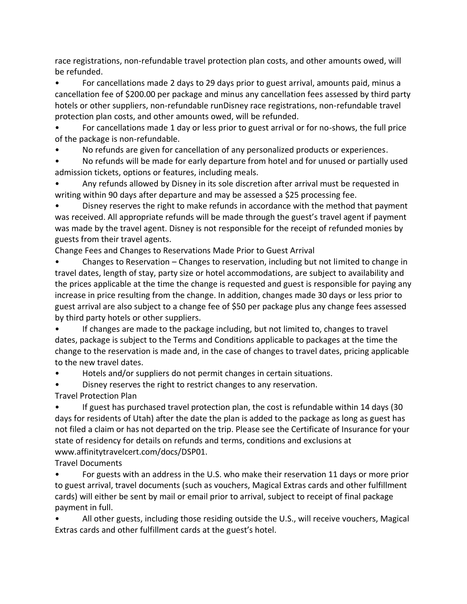race registrations, non-refundable travel protection plan costs, and other amounts owed, will be refunded.

• For cancellations made 2 days to 29 days prior to guest arrival, amounts paid, minus a cancellation fee of \$200.00 per package and minus any cancellation fees assessed by third party hotels or other suppliers, non-refundable runDisney race registrations, non-refundable travel protection plan costs, and other amounts owed, will be refunded.

• For cancellations made 1 day or less prior to guest arrival or for no-shows, the full price of the package is non-refundable.

• No refunds are given for cancellation of any personalized products or experiences.

• No refunds will be made for early departure from hotel and for unused or partially used admission tickets, options or features, including meals.

• Any refunds allowed by Disney in its sole discretion after arrival must be requested in writing within 90 days after departure and may be assessed a \$25 processing fee.

• Disney reserves the right to make refunds in accordance with the method that payment was received. All appropriate refunds will be made through the guest's travel agent if payment was made by the travel agent. Disney is not responsible for the receipt of refunded monies by guests from their travel agents.

Change Fees and Changes to Reservations Made Prior to Guest Arrival

• Changes to Reservation – Changes to reservation, including but not limited to change in travel dates, length of stay, party size or hotel accommodations, are subject to availability and the prices applicable at the time the change is requested and guest is responsible for paying any increase in price resulting from the change. In addition, changes made 30 days or less prior to guest arrival are also subject to a change fee of \$50 per package plus any change fees assessed by third party hotels or other suppliers.

• If changes are made to the package including, but not limited to, changes to travel dates, package is subject to the Terms and Conditions applicable to packages at the time the change to the reservation is made and, in the case of changes to travel dates, pricing applicable to the new travel dates.

• Hotels and/or suppliers do not permit changes in certain situations.

Disney reserves the right to restrict changes to any reservation.

Travel Protection Plan

• If guest has purchased travel protection plan, the cost is refundable within 14 days (30 days for residents of Utah) after the date the plan is added to the package as long as guest has not filed a claim or has not departed on the trip. Please see the Certificate of Insurance for your state of residency for details on refunds and terms, conditions and exclusions at www.affinitytravelcert.com/docs/DSP01.

Travel Documents

• For guests with an address in the U.S. who make their reservation 11 days or more prior to guest arrival, travel documents (such as vouchers, Magical Extras cards and other fulfillment cards) will either be sent by mail or email prior to arrival, subject to receipt of final package payment in full.

• All other guests, including those residing outside the U.S., will receive vouchers, Magical Extras cards and other fulfillment cards at the guest's hotel.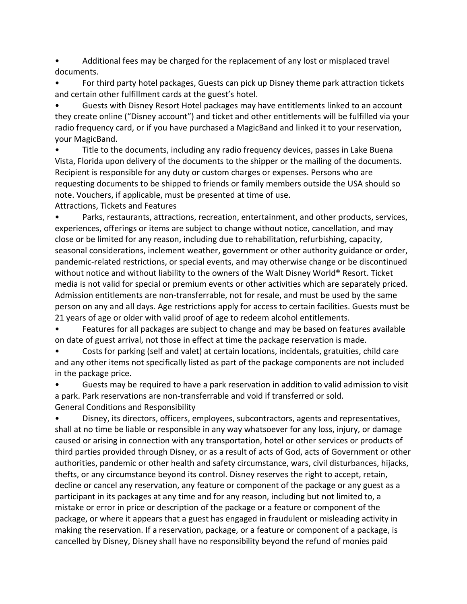• Additional fees may be charged for the replacement of any lost or misplaced travel documents.

• For third party hotel packages, Guests can pick up Disney theme park attraction tickets and certain other fulfillment cards at the guest's hotel.

• Guests with Disney Resort Hotel packages may have entitlements linked to an account they create online ("Disney account") and ticket and other entitlements will be fulfilled via your radio frequency card, or if you have purchased a MagicBand and linked it to your reservation, your MagicBand.

• Title to the documents, including any radio frequency devices, passes in Lake Buena Vista, Florida upon delivery of the documents to the shipper or the mailing of the documents. Recipient is responsible for any duty or custom charges or expenses. Persons who are requesting documents to be shipped to friends or family members outside the USA should so note. Vouchers, if applicable, must be presented at time of use. Attractions, Tickets and Features

• Parks, restaurants, attractions, recreation, entertainment, and other products, services, experiences, offerings or items are subject to change without notice, cancellation, and may close or be limited for any reason, including due to rehabilitation, refurbishing, capacity, seasonal considerations, inclement weather, government or other authority guidance or order, pandemic-related restrictions, or special events, and may otherwise change or be discontinued without notice and without liability to the owners of the Walt Disney World® Resort. Ticket media is not valid for special or premium events or other activities which are separately priced. Admission entitlements are non-transferrable, not for resale, and must be used by the same person on any and all days. Age restrictions apply for access to certain facilities. Guests must be 21 years of age or older with valid proof of age to redeem alcohol entitlements.

• Features for all packages are subject to change and may be based on features available on date of guest arrival, not those in effect at time the package reservation is made.

• Costs for parking (self and valet) at certain locations, incidentals, gratuities, child care and any other items not specifically listed as part of the package components are not included in the package price.

• Guests may be required to have a park reservation in addition to valid admission to visit a park. Park reservations are non-transferrable and void if transferred or sold. General Conditions and Responsibility

• Disney, its directors, officers, employees, subcontractors, agents and representatives, shall at no time be liable or responsible in any way whatsoever for any loss, injury, or damage caused or arising in connection with any transportation, hotel or other services or products of third parties provided through Disney, or as a result of acts of God, acts of Government or other authorities, pandemic or other health and safety circumstance, wars, civil disturbances, hijacks, thefts, or any circumstance beyond its control. Disney reserves the right to accept, retain, decline or cancel any reservation, any feature or component of the package or any guest as a participant in its packages at any time and for any reason, including but not limited to, a mistake or error in price or description of the package or a feature or component of the package, or where it appears that a guest has engaged in fraudulent or misleading activity in making the reservation. If a reservation, package, or a feature or component of a package, is cancelled by Disney, Disney shall have no responsibility beyond the refund of monies paid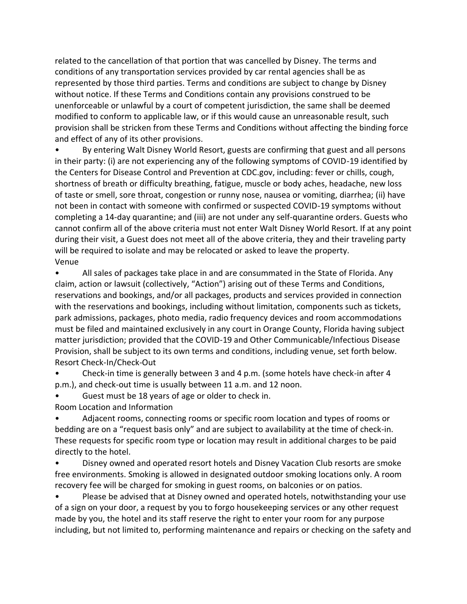related to the cancellation of that portion that was cancelled by Disney. The terms and conditions of any transportation services provided by car rental agencies shall be as represented by those third parties. Terms and conditions are subject to change by Disney without notice. If these Terms and Conditions contain any provisions construed to be unenforceable or unlawful by a court of competent jurisdiction, the same shall be deemed modified to conform to applicable law, or if this would cause an unreasonable result, such provision shall be stricken from these Terms and Conditions without affecting the binding force and effect of any of its other provisions.

• By entering Walt Disney World Resort, guests are confirming that guest and all persons in their party: (i) are not experiencing any of the following symptoms of COVID-19 identified by the Centers for Disease Control and Prevention at CDC.gov, including: fever or chills, cough, shortness of breath or difficulty breathing, fatigue, muscle or body aches, headache, new loss of taste or smell, sore throat, congestion or runny nose, nausea or vomiting, diarrhea; (ii) have not been in contact with someone with confirmed or suspected COVID-19 symptoms without completing a 14-day quarantine; and (iii) are not under any self-quarantine orders. Guests who cannot confirm all of the above criteria must not enter Walt Disney World Resort. If at any point during their visit, a Guest does not meet all of the above criteria, they and their traveling party will be required to isolate and may be relocated or asked to leave the property. Venue

• All sales of packages take place in and are consummated in the State of Florida. Any claim, action or lawsuit (collectively, "Action") arising out of these Terms and Conditions, reservations and bookings, and/or all packages, products and services provided in connection with the reservations and bookings, including without limitation, components such as tickets, park admissions, packages, photo media, radio frequency devices and room accommodations must be filed and maintained exclusively in any court in Orange County, Florida having subject matter jurisdiction; provided that the COVID-19 and Other Communicable/Infectious Disease Provision, shall be subject to its own terms and conditions, including venue, set forth below. Resort Check-In/Check-Out

• Check-in time is generally between 3 and 4 p.m. (some hotels have check-in after 4 p.m.), and check-out time is usually between 11 a.m. and 12 noon.

Guest must be 18 years of age or older to check in.

Room Location and Information

• Adjacent rooms, connecting rooms or specific room location and types of rooms or bedding are on a "request basis only" and are subject to availability at the time of check-in. These requests for specific room type or location may result in additional charges to be paid directly to the hotel.

• Disney owned and operated resort hotels and Disney Vacation Club resorts are smoke free environments. Smoking is allowed in designated outdoor smoking locations only. A room recovery fee will be charged for smoking in guest rooms, on balconies or on patios.

• Please be advised that at Disney owned and operated hotels, notwithstanding your use of a sign on your door, a request by you to forgo housekeeping services or any other request made by you, the hotel and its staff reserve the right to enter your room for any purpose including, but not limited to, performing maintenance and repairs or checking on the safety and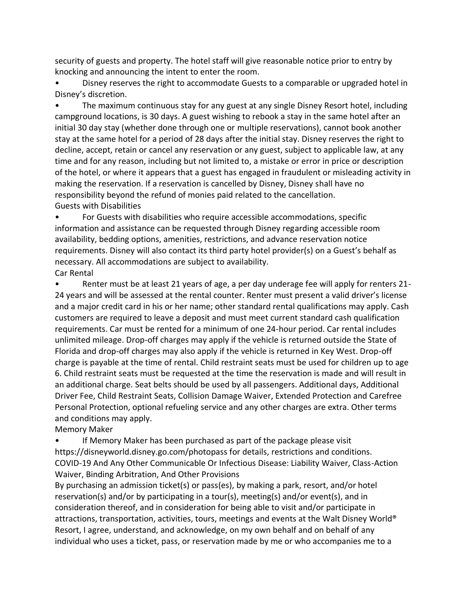security of guests and property. The hotel staff will give reasonable notice prior to entry by knocking and announcing the intent to enter the room.

• Disney reserves the right to accommodate Guests to a comparable or upgraded hotel in Disney's discretion.

• The maximum continuous stay for any guest at any single Disney Resort hotel, including campground locations, is 30 days. A guest wishing to rebook a stay in the same hotel after an initial 30 day stay (whether done through one or multiple reservations), cannot book another stay at the same hotel for a period of 28 days after the initial stay. Disney reserves the right to decline, accept, retain or cancel any reservation or any guest, subject to applicable law, at any time and for any reason, including but not limited to, a mistake or error in price or description of the hotel, or where it appears that a guest has engaged in fraudulent or misleading activity in making the reservation. If a reservation is cancelled by Disney, Disney shall have no responsibility beyond the refund of monies paid related to the cancellation. Guests with Disabilities

• For Guests with disabilities who require accessible accommodations, specific information and assistance can be requested through Disney regarding accessible room availability, bedding options, amenities, restrictions, and advance reservation notice requirements. Disney will also contact its third party hotel provider(s) on a Guest's behalf as necessary. All accommodations are subject to availability. Car Rental

• Renter must be at least 21 years of age, a per day underage fee will apply for renters 21- 24 years and will be assessed at the rental counter. Renter must present a valid driver's license and a major credit card in his or her name; other standard rental qualifications may apply. Cash customers are required to leave a deposit and must meet current standard cash qualification requirements. Car must be rented for a minimum of one 24-hour period. Car rental includes unlimited mileage. Drop-off charges may apply if the vehicle is returned outside the State of Florida and drop-off charges may also apply if the vehicle is returned in Key West. Drop-off charge is payable at the time of rental. Child restraint seats must be used for children up to age 6. Child restraint seats must be requested at the time the reservation is made and will result in an additional charge. Seat belts should be used by all passengers. Additional days, Additional Driver Fee, Child Restraint Seats, Collision Damage Waiver, Extended Protection and Carefree Personal Protection, optional refueling service and any other charges are extra. Other terms and conditions may apply.

Memory Maker

If Memory Maker has been purchased as part of the package please visit https://disneyworld.disney.go.com/photopass for details, restrictions and conditions. COVID-19 And Any Other Communicable Or Infectious Disease: Liability Waiver, Class-Action Waiver, Binding Arbitration, And Other Provisions

By purchasing an admission ticket(s) or pass(es), by making a park, resort, and/or hotel reservation(s) and/or by participating in a tour(s), meeting(s) and/or event(s), and in consideration thereof, and in consideration for being able to visit and/or participate in attractions, transportation, activities, tours, meetings and events at the Walt Disney World® Resort, I agree, understand, and acknowledge, on my own behalf and on behalf of any individual who uses a ticket, pass, or reservation made by me or who accompanies me to a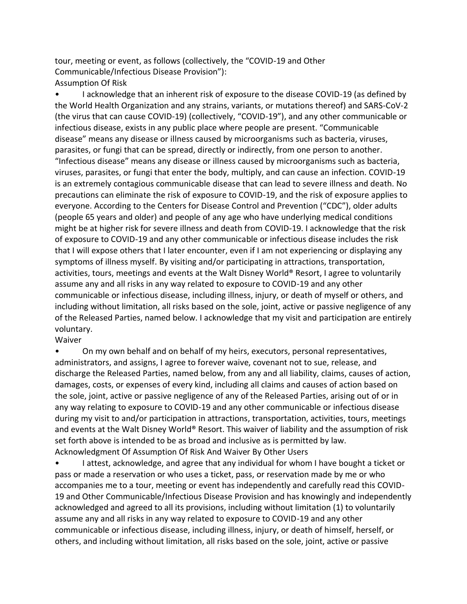tour, meeting or event, as follows (collectively, the "COVID-19 and Other Communicable/Infectious Disease Provision"): Assumption Of Risk

• I acknowledge that an inherent risk of exposure to the disease COVID-19 (as defined by the World Health Organization and any strains, variants, or mutations thereof) and SARS-CoV-2 (the virus that can cause COVID-19) (collectively, "COVID-19"), and any other communicable or infectious disease, exists in any public place where people are present. "Communicable disease" means any disease or illness caused by microorganisms such as bacteria, viruses, parasites, or fungi that can be spread, directly or indirectly, from one person to another. "Infectious disease" means any disease or illness caused by microorganisms such as bacteria, viruses, parasites, or fungi that enter the body, multiply, and can cause an infection. COVID-19 is an extremely contagious communicable disease that can lead to severe illness and death. No precautions can eliminate the risk of exposure to COVID-19, and the risk of exposure applies to everyone. According to the Centers for Disease Control and Prevention ("CDC"), older adults (people 65 years and older) and people of any age who have underlying medical conditions might be at higher risk for severe illness and death from COVID-19. I acknowledge that the risk of exposure to COVID-19 and any other communicable or infectious disease includes the risk that I will expose others that I later encounter, even if I am not experiencing or displaying any symptoms of illness myself. By visiting and/or participating in attractions, transportation, activities, tours, meetings and events at the Walt Disney World® Resort, I agree to voluntarily assume any and all risks in any way related to exposure to COVID-19 and any other communicable or infectious disease, including illness, injury, or death of myself or others, and including without limitation, all risks based on the sole, joint, active or passive negligence of any of the Released Parties, named below. I acknowledge that my visit and participation are entirely voluntary.

Waiver

• On my own behalf and on behalf of my heirs, executors, personal representatives, administrators, and assigns, I agree to forever waive, covenant not to sue, release, and discharge the Released Parties, named below, from any and all liability, claims, causes of action, damages, costs, or expenses of every kind, including all claims and causes of action based on the sole, joint, active or passive negligence of any of the Released Parties, arising out of or in any way relating to exposure to COVID-19 and any other communicable or infectious disease during my visit to and/or participation in attractions, transportation, activities, tours, meetings and events at the Walt Disney World® Resort. This waiver of liability and the assumption of risk set forth above is intended to be as broad and inclusive as is permitted by law. Acknowledgment Of Assumption Of Risk And Waiver By Other Users

• I attest, acknowledge, and agree that any individual for whom I have bought a ticket or pass or made a reservation or who uses a ticket, pass, or reservation made by me or who accompanies me to a tour, meeting or event has independently and carefully read this COVID-19 and Other Communicable/Infectious Disease Provision and has knowingly and independently acknowledged and agreed to all its provisions, including without limitation (1) to voluntarily assume any and all risks in any way related to exposure to COVID-19 and any other communicable or infectious disease, including illness, injury, or death of himself, herself, or others, and including without limitation, all risks based on the sole, joint, active or passive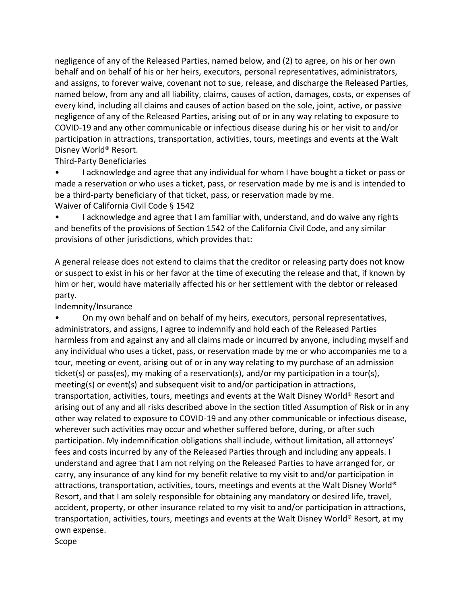negligence of any of the Released Parties, named below, and (2) to agree, on his or her own behalf and on behalf of his or her heirs, executors, personal representatives, administrators, and assigns, to forever waive, covenant not to sue, release, and discharge the Released Parties, named below, from any and all liability, claims, causes of action, damages, costs, or expenses of every kind, including all claims and causes of action based on the sole, joint, active, or passive negligence of any of the Released Parties, arising out of or in any way relating to exposure to COVID-19 and any other communicable or infectious disease during his or her visit to and/or participation in attractions, transportation, activities, tours, meetings and events at the Walt Disney World® Resort.

Third-Party Beneficiaries

• I acknowledge and agree that any individual for whom I have bought a ticket or pass or made a reservation or who uses a ticket, pass, or reservation made by me is and is intended to be a third-party beneficiary of that ticket, pass, or reservation made by me. Waiver of California Civil Code § 1542

• I acknowledge and agree that I am familiar with, understand, and do waive any rights and benefits of the provisions of Section 1542 of the California Civil Code, and any similar provisions of other jurisdictions, which provides that:

A general release does not extend to claims that the creditor or releasing party does not know or suspect to exist in his or her favor at the time of executing the release and that, if known by him or her, would have materially affected his or her settlement with the debtor or released party.

Indemnity/Insurance

• On my own behalf and on behalf of my heirs, executors, personal representatives, administrators, and assigns, I agree to indemnify and hold each of the Released Parties harmless from and against any and all claims made or incurred by anyone, including myself and any individual who uses a ticket, pass, or reservation made by me or who accompanies me to a tour, meeting or event, arising out of or in any way relating to my purchase of an admission ticket(s) or pass(es), my making of a reservation(s), and/or my participation in a tour(s), meeting(s) or event(s) and subsequent visit to and/or participation in attractions, transportation, activities, tours, meetings and events at the Walt Disney World® Resort and arising out of any and all risks described above in the section titled Assumption of Risk or in any other way related to exposure to COVID-19 and any other communicable or infectious disease, wherever such activities may occur and whether suffered before, during, or after such participation. My indemnification obligations shall include, without limitation, all attorneys' fees and costs incurred by any of the Released Parties through and including any appeals. I understand and agree that I am not relying on the Released Parties to have arranged for, or carry, any insurance of any kind for my benefit relative to my visit to and/or participation in attractions, transportation, activities, tours, meetings and events at the Walt Disney World® Resort, and that I am solely responsible for obtaining any mandatory or desired life, travel, accident, property, or other insurance related to my visit to and/or participation in attractions, transportation, activities, tours, meetings and events at the Walt Disney World® Resort, at my own expense.

Scope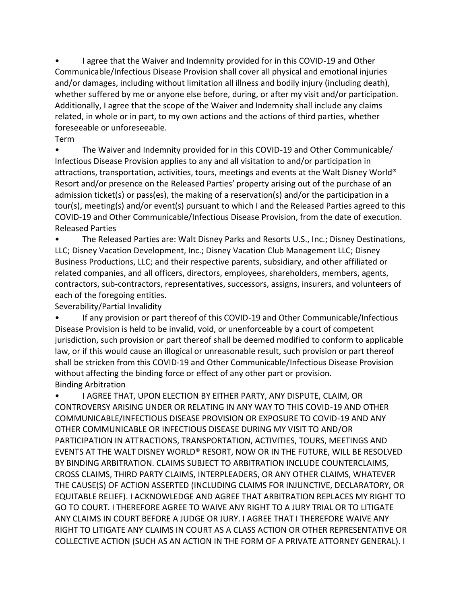• I agree that the Waiver and Indemnity provided for in this COVID-19 and Other Communicable/Infectious Disease Provision shall cover all physical and emotional injuries and/or damages, including without limitation all illness and bodily injury (including death), whether suffered by me or anyone else before, during, or after my visit and/or participation. Additionally, I agree that the scope of the Waiver and Indemnity shall include any claims related, in whole or in part, to my own actions and the actions of third parties, whether foreseeable or unforeseeable.

Term

• The Waiver and Indemnity provided for in this COVID-19 and Other Communicable/ Infectious Disease Provision applies to any and all visitation to and/or participation in attractions, transportation, activities, tours, meetings and events at the Walt Disney World® Resort and/or presence on the Released Parties' property arising out of the purchase of an admission ticket(s) or pass(es), the making of a reservation(s) and/or the participation in a tour(s), meeting(s) and/or event(s) pursuant to which I and the Released Parties agreed to this COVID-19 and Other Communicable/Infectious Disease Provision, from the date of execution. Released Parties

• The Released Parties are: Walt Disney Parks and Resorts U.S., Inc.; Disney Destinations, LLC; Disney Vacation Development, Inc.; Disney Vacation Club Management LLC; Disney Business Productions, LLC; and their respective parents, subsidiary, and other affiliated or related companies, and all officers, directors, employees, shareholders, members, agents, contractors, sub-contractors, representatives, successors, assigns, insurers, and volunteers of each of the foregoing entities.

Severability/Partial Invalidity

• If any provision or part thereof of this COVID-19 and Other Communicable/Infectious Disease Provision is held to be invalid, void, or unenforceable by a court of competent jurisdiction, such provision or part thereof shall be deemed modified to conform to applicable law, or if this would cause an illogical or unreasonable result, such provision or part thereof shall be stricken from this COVID-19 and Other Communicable/Infectious Disease Provision without affecting the binding force or effect of any other part or provision. Binding Arbitration

• I AGREE THAT, UPON ELECTION BY EITHER PARTY, ANY DISPUTE, CLAIM, OR CONTROVERSY ARISING UNDER OR RELATING IN ANY WAY TO THIS COVID-19 AND OTHER COMMUNICABLE/INFECTIOUS DISEASE PROVISION OR EXPOSURE TO COVID-19 AND ANY OTHER COMMUNICABLE OR INFECTIOUS DISEASE DURING MY VISIT TO AND/OR PARTICIPATION IN ATTRACTIONS, TRANSPORTATION, ACTIVITIES, TOURS, MEETINGS AND EVENTS AT THE WALT DISNEY WORLD® RESORT, NOW OR IN THE FUTURE, WILL BE RESOLVED BY BINDING ARBITRATION. CLAIMS SUBJECT TO ARBITRATION INCLUDE COUNTERCLAIMS, CROSS CLAIMS, THIRD PARTY CLAIMS, INTERPLEADERS, OR ANY OTHER CLAIMS, WHATEVER THE CAUSE(S) OF ACTION ASSERTED (INCLUDING CLAIMS FOR INJUNCTIVE, DECLARATORY, OR EQUITABLE RELIEF). I ACKNOWLEDGE AND AGREE THAT ARBITRATION REPLACES MY RIGHT TO GO TO COURT. I THEREFORE AGREE TO WAIVE ANY RIGHT TO A JURY TRIAL OR TO LITIGATE ANY CLAIMS IN COURT BEFORE A JUDGE OR JURY. I AGREE THAT I THEREFORE WAIVE ANY RIGHT TO LITIGATE ANY CLAIMS IN COURT AS A CLASS ACTION OR OTHER REPRESENTATIVE OR COLLECTIVE ACTION (SUCH AS AN ACTION IN THE FORM OF A PRIVATE ATTORNEY GENERAL). I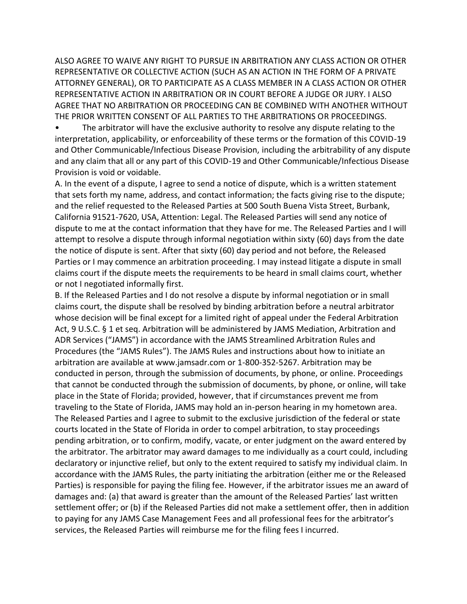ALSO AGREE TO WAIVE ANY RIGHT TO PURSUE IN ARBITRATION ANY CLASS ACTION OR OTHER REPRESENTATIVE OR COLLECTIVE ACTION (SUCH AS AN ACTION IN THE FORM OF A PRIVATE ATTORNEY GENERAL), OR TO PARTICIPATE AS A CLASS MEMBER IN A CLASS ACTION OR OTHER REPRESENTATIVE ACTION IN ARBITRATION OR IN COURT BEFORE A JUDGE OR JURY. I ALSO AGREE THAT NO ARBITRATION OR PROCEEDING CAN BE COMBINED WITH ANOTHER WITHOUT THE PRIOR WRITTEN CONSENT OF ALL PARTIES TO THE ARBITRATIONS OR PROCEEDINGS.

• The arbitrator will have the exclusive authority to resolve any dispute relating to the interpretation, applicability, or enforceability of these terms or the formation of this COVID-19 and Other Communicable/Infectious Disease Provision, including the arbitrability of any dispute and any claim that all or any part of this COVID-19 and Other Communicable/Infectious Disease Provision is void or voidable.

A. In the event of a dispute, I agree to send a notice of dispute, which is a written statement that sets forth my name, address, and contact information; the facts giving rise to the dispute; and the relief requested to the Released Parties at 500 South Buena Vista Street, Burbank, California 91521-7620, USA, Attention: Legal. The Released Parties will send any notice of dispute to me at the contact information that they have for me. The Released Parties and I will attempt to resolve a dispute through informal negotiation within sixty (60) days from the date the notice of dispute is sent. After that sixty (60) day period and not before, the Released Parties or I may commence an arbitration proceeding. I may instead litigate a dispute in small claims court if the dispute meets the requirements to be heard in small claims court, whether or not I negotiated informally first.

B. If the Released Parties and I do not resolve a dispute by informal negotiation or in small claims court, the dispute shall be resolved by binding arbitration before a neutral arbitrator whose decision will be final except for a limited right of appeal under the Federal Arbitration Act, 9 U.S.C. § 1 et seq. Arbitration will be administered by JAMS Mediation, Arbitration and ADR Services ("JAMS") in accordance with the JAMS Streamlined Arbitration Rules and Procedures (the "JAMS Rules"). The JAMS Rules and instructions about how to initiate an arbitration are available at www.jamsadr.com or 1-800-352-5267. Arbitration may be conducted in person, through the submission of documents, by phone, or online. Proceedings that cannot be conducted through the submission of documents, by phone, or online, will take place in the State of Florida; provided, however, that if circumstances prevent me from traveling to the State of Florida, JAMS may hold an in-person hearing in my hometown area. The Released Parties and I agree to submit to the exclusive jurisdiction of the federal or state courts located in the State of Florida in order to compel arbitration, to stay proceedings pending arbitration, or to confirm, modify, vacate, or enter judgment on the award entered by the arbitrator. The arbitrator may award damages to me individually as a court could, including declaratory or injunctive relief, but only to the extent required to satisfy my individual claim. In accordance with the JAMS Rules, the party initiating the arbitration (either me or the Released Parties) is responsible for paying the filing fee. However, if the arbitrator issues me an award of damages and: (a) that award is greater than the amount of the Released Parties' last written settlement offer; or (b) if the Released Parties did not make a settlement offer, then in addition to paying for any JAMS Case Management Fees and all professional fees for the arbitrator's services, the Released Parties will reimburse me for the filing fees I incurred.